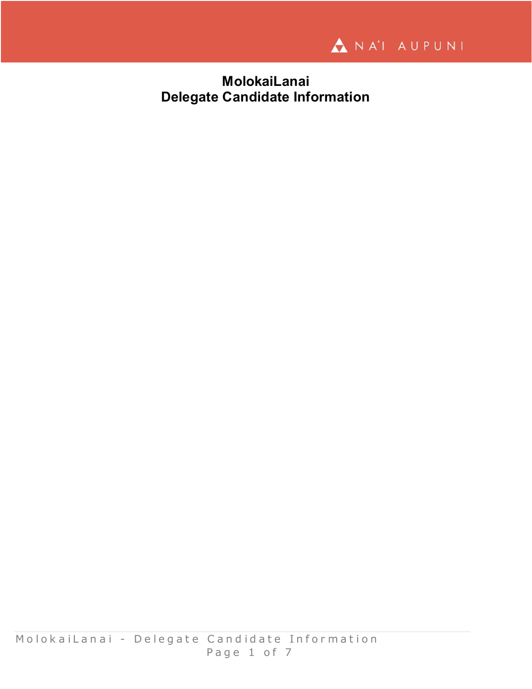

**MolokaiLanai Delegate Candidate Information**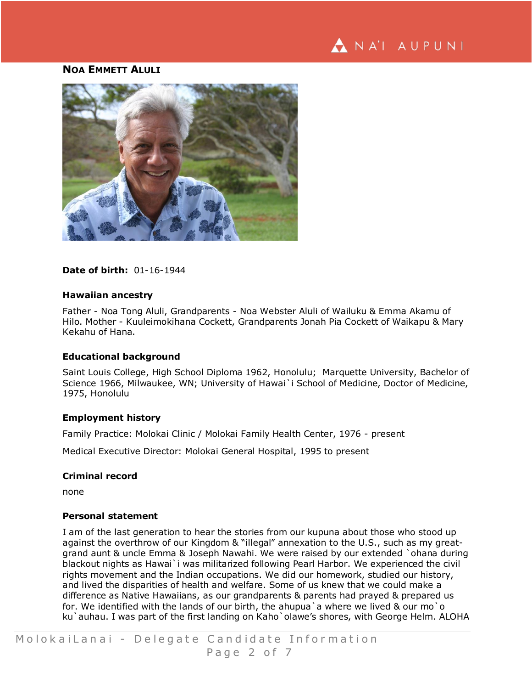# NA'I AUPUNI

# **NOA EMMETT ALULI**



## **Date of birth:** 01-16-1944

#### **Hawaiian ancestry**

Father - Noa Tong Aluli, Grandparents - Noa Webster Aluli of Wailuku & Emma Akamu of Hilo. Mother - Kuuleimokihana Cockett, Grandparents Jonah Pia Cockett of Waikapu & Mary Kekahu of Hana.

#### **Educational background**

Saint Louis College, High School Diploma 1962, Honolulu; Marquette University, Bachelor of Science 1966, Milwaukee, WN; University of Hawai`i School of Medicine, Doctor of Medicine, 1975, Honolulu

#### **Employment history**

Family Practice: Molokai Clinic / Molokai Family Health Center, 1976 - present

Medical Executive Director: Molokai General Hospital, 1995 to present

#### **Criminal record**

none

#### **Personal statement**

I am of the last generation to hear the stories from our kupuna about those who stood up against the overthrow of our Kingdom & "illegal" annexation to the U.S., such as my greatgrand aunt & uncle Emma & Joseph Nawahi. We were raised by our extended `ohana during blackout nights as Hawai`i was militarized following Pearl Harbor. We experienced the civil rights movement and the Indian occupations. We did our homework, studied our history, and lived the disparities of health and welfare. Some of us knew that we could make a difference as Native Hawaiians, as our grandparents & parents had prayed & prepared us for. We identified with the lands of our birth, the ahupua a where we lived & our mo o ku'auhau. I was part of the first landing on Kaho'olawe's shores, with George Helm. ALOHA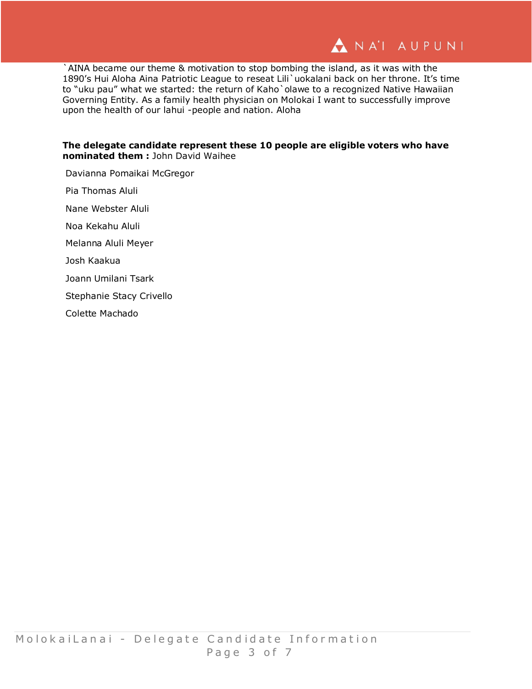

`AINA became our theme & motivation to stop bombing the island, as it was with the 1890's Hui Aloha Aina Patriotic League to reseat Lili`uokalani back on her throne. It's time to "uku pau" what we started: the return of Kaho `olawe to a recognized Native Hawaiian Governing Entity. As a family health physician on Molokai I want to successfully improve upon the health of our lahui -people and nation. Aloha

### **The delegate candidate represent these 10 people are eligible voters who have nominated them :** John David Waihee

Davianna Pomaikai McGregor Pia Thomas Aluli Nane Webster Aluli Noa Kekahu Aluli Melanna Aluli Meyer Josh Kaakua Joann Umilani Tsark Stephanie Stacy Crivello Colette Machado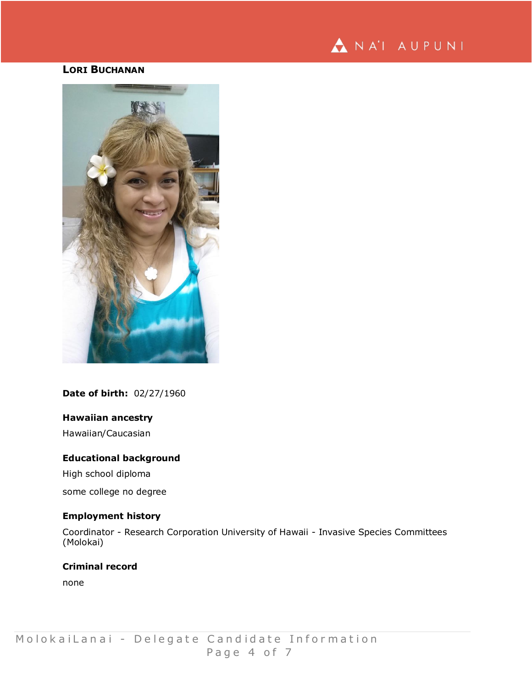

# **LORI BUCHANAN**



**Date of birth:** 02/27/1960

## **Hawaiian ancestry**

Hawaiian/Caucasian

#### **Educational background**

High school diploma

some college no degree

## **Employment history**

Coordinator - Research Corporation University of Hawaii - Invasive Species Committees (Molokai)

**Criminal record**

none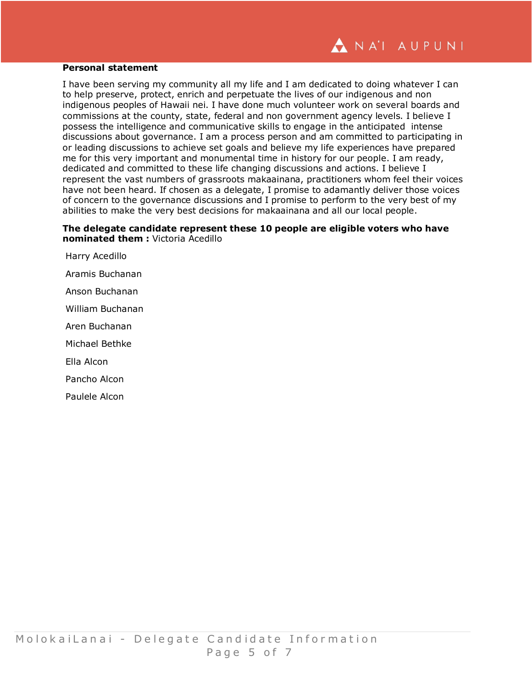#### **Personal statement**

I have been serving my community all my life and I am dedicated to doing whatever I can to help preserve, protect, enrich and perpetuate the lives of our indigenous and non indigenous peoples of Hawaii nei. I have done much volunteer work on several boards and commissions at the county, state, federal and non government agency levels. I believe I possess the intelligence and communicative skills to engage in the anticipated intense discussions about governance. I am a process person and am committed to participating in or leading discussions to achieve set goals and believe my life experiences have prepared me for this very important and monumental time in history for our people. I am ready, dedicated and committed to these life changing discussions and actions. I believe I represent the vast numbers of grassroots makaainana, practitioners whom feel their voices have not been heard. If chosen as a delegate, I promise to adamantly deliver those voices of concern to the governance discussions and I promise to perform to the very best of my abilities to make the very best decisions for makaainana and all our local people.

## **The delegate candidate represent these 10 people are eligible voters who have nominated them :** Victoria Acedillo

Harry Acedillo Aramis Buchanan Anson Buchanan William Buchanan Aren Buchanan Michael Bethke Ella Alcon Pancho Alcon Paulele Alcon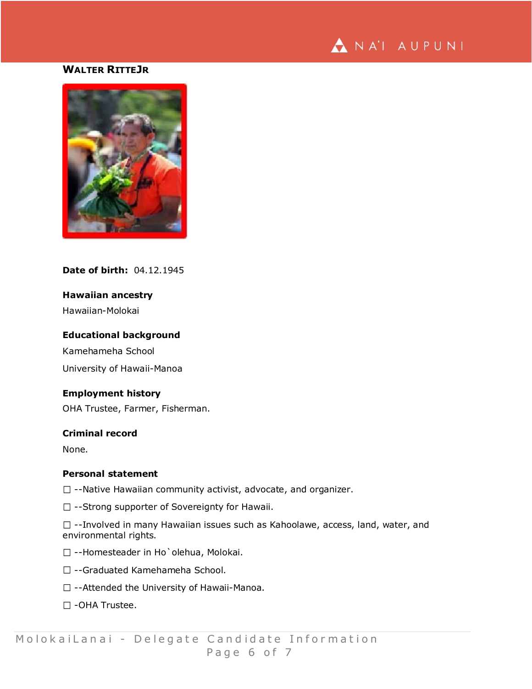

# **WALTER RITTEJR**



## **Date of birth:** 04.12.1945

## **Hawaiian ancestry**

Hawaiian-Molokai

#### **Educational background**

Kamehameha School University of Hawaii-Manoa

## **Employment history**

OHA Trustee, Farmer, Fisherman.

## **Criminal record**

None.

#### **Personal statement**

 $\Box$  --Native Hawaiian community activist, advocate, and organizer.

 $\square$  --Strong supporter of Sovereignty for Hawaii.

 $\Box$  --Involved in many Hawaiian issues such as Kahoolawe, access, land, water, and environmental rights.

- □ --Homesteader in Ho`olehua, Molokai.
- □ --Graduated Kamehameha School.
- $\square$  --Attended the University of Hawaii-Manoa.
- -OHA Trustee.